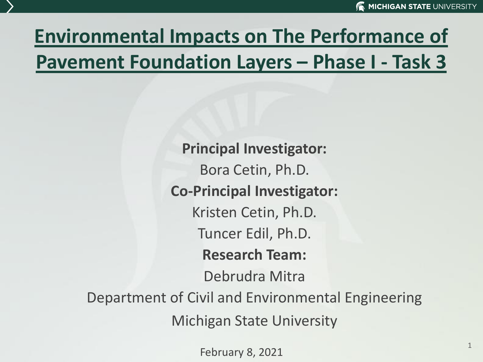## **Environmental Impacts on The Performance of Pavement Foundation Layers – Phase I - Task 3**

**Principal Investigator:** Bora Cetin, Ph.D. **Co-Principal Investigator:** Kristen Cetin, Ph.D. Tuncer Edil, Ph.D. **Research Team:** Debrudra Mitra Department of Civil and Environmental Engineering Michigan State University

February 8, 2021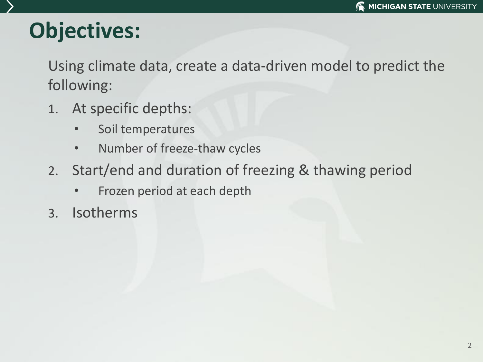# **Objectives:**

Using climate data, create a data-driven model to predict the following:

- 1. At specific depths:
	- Soil temperatures
	- Number of freeze-thaw cycles
- 2. Start/end and duration of freezing & thawing period
	- Frozen period at each depth
- 3. Isotherms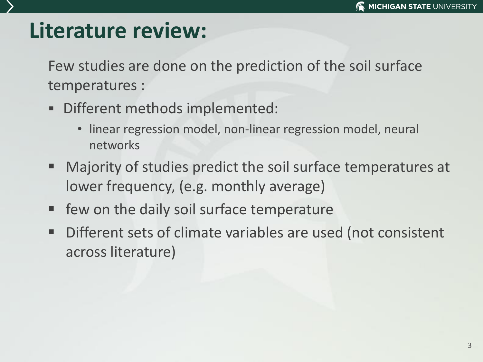### **Literature review:**

Few studies are done on the prediction of the soil surface temperatures :

- Different methods implemented:
	- linear regression model, non-linear regression model, neural networks
- Majority of studies predict the soil surface temperatures at lower frequency, (e.g. monthly average)
- few on the daily soil surface temperature
- Different sets of climate variables are used (not consistent across literature)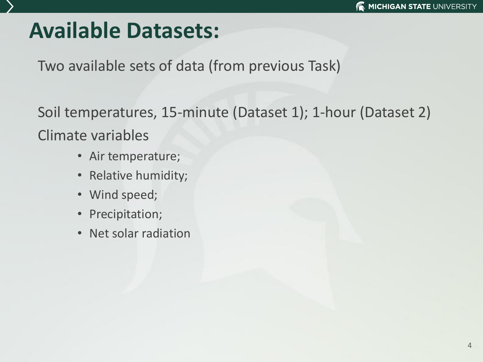#### **Available Datasets:**

Two available sets of data (from previous Task)

Soil temperatures, 15-minute (Dataset 1); 1-hour (Dataset 2) Climate variables

- Air temperature;
- Relative humidity;
- Wind speed;
- Precipitation;
- Net solar radiation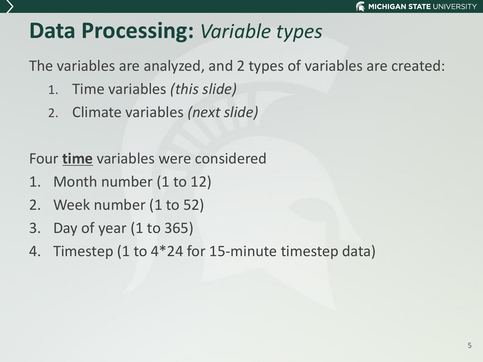#### **Data Processing:** *Variable types*

The variables are analyzed, and 2 types of variables are created:

- 1. Time variables *(this slide)*
- 2. Climate variables *(next slide)*

Four **time** variables were considered

- 1. Month number (1 to 12)
- 2. Week number (1 to 52)
- 3. Day of year (1 to 365)
- 4. Timestep (1 to 4\*24 for 15-minute timestep data)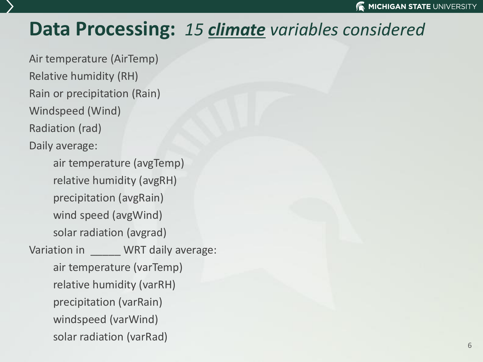#### **Data Processing:** *15 climate variables considered*

Air temperature (AirTemp) Relative humidity (RH) Rain or precipitation (Rain) Windspeed (Wind) Radiation (rad) Daily average:

air temperature (avgTemp) relative humidity (avgRH) precipitation (avgRain) wind speed (avgWind) solar radiation (avgrad) Variation in **WRT** daily average: air temperature (varTemp) relative humidity (varRH) precipitation (varRain) windspeed (varWind) solar radiation (varRad)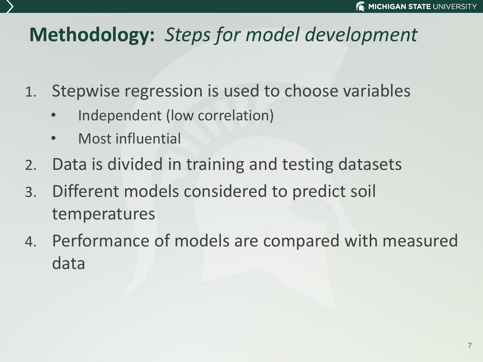#### **Methodology:** *Steps for model development*

- 1. Stepwise regression is used to choose variables
	- Independent (low correlation)
	- Most influential
- 2. Data is divided in training and testing datasets
- 3. Different models considered to predict soil temperatures
- 4. Performance of models are compared with measured data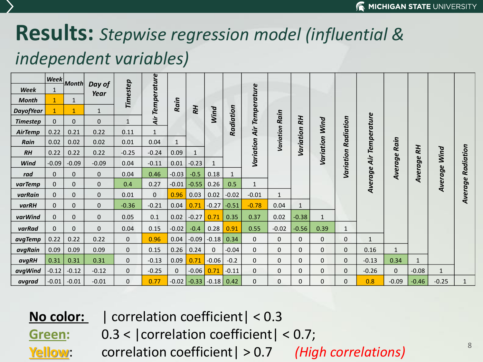#### **Results:** *Stepwise regression model (influential & independent variables)*

|                  | Week         |              |                |              |                    |              |              |              |              |                    |              |              |                |                     |              |              |              |              |           |
|------------------|--------------|--------------|----------------|--------------|--------------------|--------------|--------------|--------------|--------------|--------------------|--------------|--------------|----------------|---------------------|--------------|--------------|--------------|--------------|-----------|
| Week             | $\mathbf{1}$ | <b>Month</b> | Day of<br>Year | Timestep     | <b>Temperature</b> |              |              |              |              |                    |              |              |                |                     |              |              |              |              |           |
| <b>Month</b>     | $\mathbf{1}$ | $\mathbf{1}$ |                |              |                    | Rain         |              |              |              | <b>Temperature</b> |              |              |                |                     |              |              |              |              |           |
| <b>DayofYear</b> | $\mathbf{1}$ | $\mathbf{1}$ | $\mathbf{1}$   |              |                    |              | RН           | Wind         |              |                    |              |              |                |                     |              |              |              |              |           |
| <b>Timestep</b>  | $\mathbf 0$  | $\mathbf 0$  | $\mathbf 0$    | $\mathbf{1}$ | Àir                |              |              |              | Radiation    |                    | Rain         | <b>RH</b>    |                |                     | Temperature  |              |              |              |           |
| AirTemp          | 0.22         | 0.21         | 0.22           | 0.11         | $\mathbf{1}$       |              |              |              |              | Air                | Variation    |              | Variation Wind | Variation Radiation |              |              |              |              |           |
| Rain             | 0.02         | 0.02         | 0.02           | 0.01         | 0.04               | $\mathbf{1}$ |              |              |              |                    |              | Variation    |                |                     |              | Rain         |              |              |           |
| $R$ H            | 0.22         | 0.22         | 0.22           | $-0.25$      | $-0.24$            | 0.09         | $\mathbf{1}$ |              |              | Variation          |              |              |                |                     |              |              | <b>RH</b>    | Wind         | Radiation |
| Wind             | $-0.09$      | $-0.09$      | $-0.09$        | 0.04         | $-0.11$            | 0.01         | $-0.23$      | $\mathbf{1}$ |              |                    |              |              |                |                     | Air          |              |              |              |           |
| rad              | $\mathbf{0}$ | $\mathbf 0$  | 0              | 0.04         | 0.46               | $-0.03$      | $-0.5$       | 0.18         | $\mathbf{1}$ |                    |              |              |                |                     | Average      | Average      | Average      | Average      |           |
| varTemp          | $\mathbf{0}$ | $\mathbf 0$  | 0              | 0.4          | 0.27               | $-0.01$      | $-0.55$      | 0.26         | 0.5          | $\mathbf{1}$       |              |              |                |                     |              |              |              |              |           |
| varRain          | $\Omega$     | $\mathbf 0$  | 0              | 0.01         | $\mathbf{0}$       | 0.96         | 0.03         | 0.02         | $-0.02$      | $-0.01$            | $\mathbf{1}$ |              |                |                     |              |              |              |              | Average   |
| varRH            | $\mathbf{0}$ | $\mathbf 0$  | 0              | $-0.36$      | $-0.21$            | 0.04         | 0.71         | $-0.27$      | $-0.51$      | $-0.78$            | 0.04         | $\mathbf{1}$ |                |                     |              |              |              |              |           |
| varWind          | $\mathbf 0$  | 0            | 0              | 0.05         | 0.1                | 0.02         | $-0.27$      | 0.71         | 0.35         | 0.37               | 0.02         | $-0.38$      | $\mathbf 1$    |                     |              |              |              |              |           |
| varRad           | $\mathbf{0}$ | $\mathbf 0$  | 0              | 0.04         | 0.15               | $-0.02$      | $-0.4$       | 0.28         | 0.91         | 0.55               | $-0.02$      | $-0.56$      | 0.39           | 1                   |              |              |              |              |           |
| avgTemp          | 0.22         | 0.22         | 0.22           | $\mathbf{0}$ | 0.96               | 0.04         | $-0.09$      | $-0.18$      | 0.34         | $\mathbf{0}$       | $\mathbf{0}$ | $\mathbf{0}$ | $\mathbf{0}$   | 0                   | $\mathbf{1}$ |              |              |              |           |
| avgRain          | 0.09         | 0.09         | 0.09           | 0            | 0.15               | 0.26         | 0.24         | $\mathbf{0}$ | $-0.04$      | 0                  | $\mathbf{0}$ | $\mathbf{0}$ | $\mathbf{0}$   | 0                   | 0.16         | $\mathbf{1}$ |              |              |           |
| avgRH            | 0.31         | 0.31         | 0.31           | $\mathbf{0}$ | $-0.13$            | 0.09         | 0.71         | $-0.06$      | $-0.2$       | $\mathbf{0}$       | $\mathbf{0}$ | $\Omega$     | $\mathbf 0$    | 0                   | $-0.13$      | 0.34         | $\mathbf{1}$ |              |           |
| avgWind          | $-0.12$      | $-0.12$      | $-0.12$        | $\mathbf{0}$ | $-0.25$            | $\mathbf{0}$ | $-0.06$      | 0.71         | $-0.11$      | $\mathbf{0}$       | $\mathbf{0}$ | 0            | $\mathbf 0$    | 0                   | $-0.26$      | $\mathbf{0}$ | $-0.08$      | $\mathbf{1}$ |           |
| avgrad           | $-0.01$      | $-0.01$      | $-0.01$        | 0            | 0.77               | $-0.02$      | $-0.33$      | $-0.18$ 0.42 |              | $\Omega$           | 0            | $\mathbf{0}$ | $\mathbf 0$    | 0                   | 0.8          | $-0.09$      | $-0.46$      | $-0.25$      |           |

**No color:** | correlation coefficient| < 0.3

Green:  $0.3 <$  | correlation coefficient |  $< 0.7$ ;

**Yellow**: correlation coefficient| > 0.7 *(High correlations)* 

8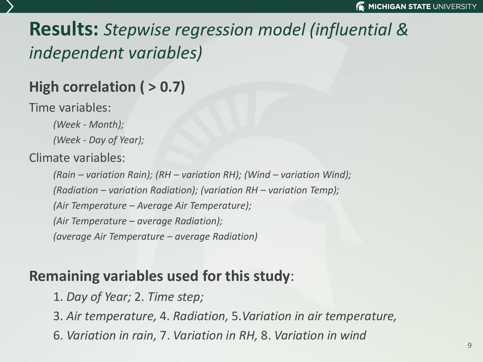#### **Results:** *Stepwise regression model (influential & independent variables)*

#### **High correlation ( > 0.7)**

Time variables:

*(Week - Month); (Week - Day of Year);* 

Climate variables:

*(Rain – variation Rain); (RH – variation RH); (Wind – variation Wind); (Radiation – variation Radiation); (variation RH – variation Temp); (Air Temperature – Average Air Temperature); (Air Temperature – average Radiation); (average Air Temperature – average Radiation)*

#### **Remaining variables used for this study**:

1. *Day of Year;* 2. *Time step;*

3. *Air temperature,* 4. *Radiation,* 5.*Variation in air temperature,* 

6. *Variation in rain,* 7. *Variation in RH,* 8. *Variation in wind*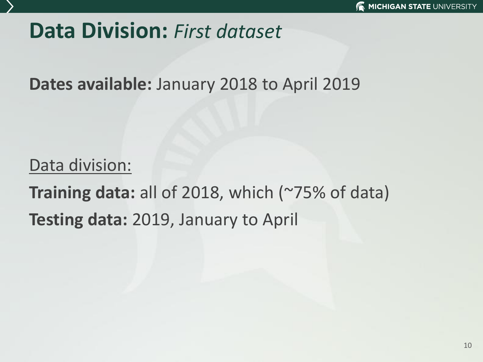#### **Data Division:** *First dataset*

**Dates available:** January 2018 to April 2019

#### Data division:

**Training data:** all of 2018, which (~75% of data) **Testing data:** 2019, January to April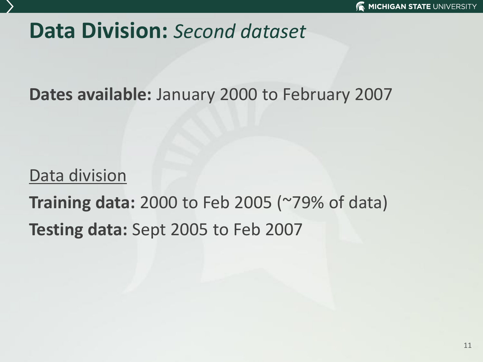#### **Data Division:** *Second dataset*

**Dates available:** January 2000 to February 2007

#### Data division

## **Training data:** 2000 to Feb 2005 (~79% of data) **Testing data:** Sept 2005 to Feb 2007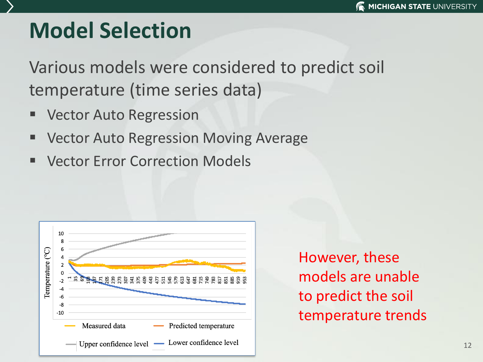## **Model Selection**

Various models were considered to predict soil temperature (time series data)

- **Vector Auto Regression**
- Vector Auto Regression Moving Average
- **Vector Error Correction Models**



However, these models are unable to predict the soil temperature trends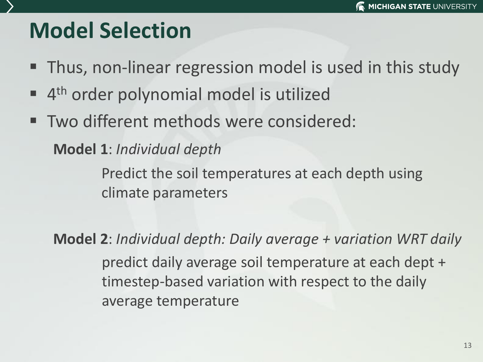## **Model Selection**

- Thus, non-linear regression model is used in this study
- **4th order polynomial model is utilized**
- Two different methods were considered:

**Model 1**: *Individual depth*

Predict the soil temperatures at each depth using climate parameters

**Model 2**: *Individual depth: Daily average + variation WRT daily*  predict daily average soil temperature at each dept + timestep-based variation with respect to the daily average temperature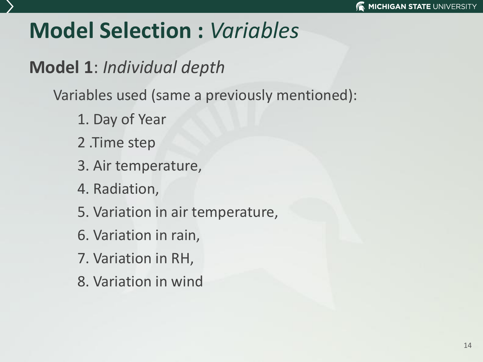## **Model Selection :** *Variables*

**Model 1**: *Individual depth*

Variables used (same a previously mentioned):

- 1. Day of Year
- 2 .Time step
- 3. Air temperature,
- 4. Radiation,
- 5. Variation in air temperature,
- 6. Variation in rain,
- 7. Variation in RH,
- 8. Variation in wind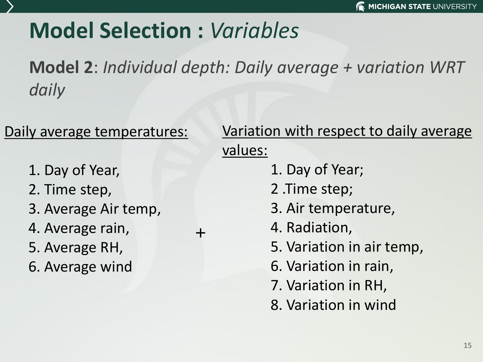## **Model Selection :** *Variables*

+

**Model 2**: *Individual depth: Daily average + variation WRT daily* 

#### Daily average temperatures:

- 1. Day of Year,
- 2. Time step,
- 3. Average Air temp,
- 4. Average rain,
- 5. Average RH,
- 6. Average wind

#### Variation with respect to daily average values:

- 1. Day of Year;
- 2 .Time step;
- 3. Air temperature,
- 4. Radiation,
- 5. Variation in air temp,
- 6. Variation in rain,
- 7. Variation in RH,
- 8. Variation in wind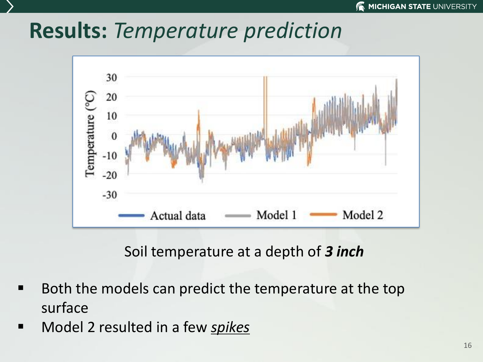#### **Results:** *Temperature prediction*



Soil temperature at a depth of *3 inch*

- Both the models can predict the temperature at the top surface
- Model 2 resulted in a few **spikes**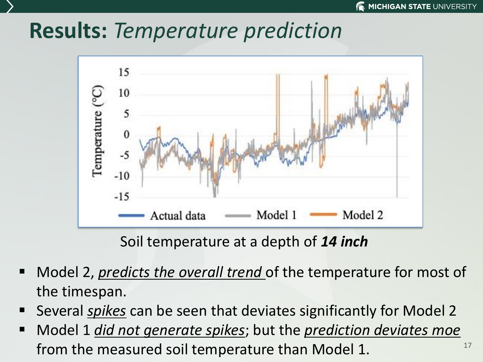#### **Results:** *Temperature prediction*



Soil temperature at a depth of *14 inch*

- Model 2, *predicts the overall trend* of the temperature for most of the timespan.
- Several *spikes* can be seen that deviates significantly for Model 2
- 17 Model 1 *did not generate spikes*; but the *prediction deviates moe* from the measured soil temperature than Model 1.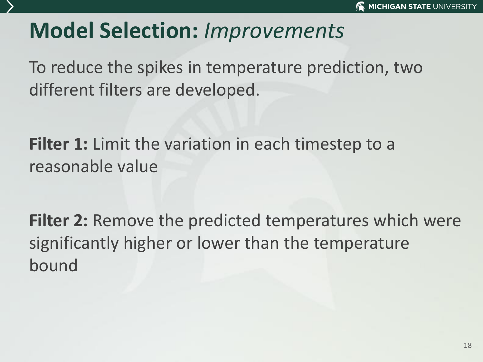### **Model Selection:** *Improvements*

To reduce the spikes in temperature prediction, two different filters are developed.

**Filter 1:** Limit the variation in each timestep to a reasonable value

**Filter 2:** Remove the predicted temperatures which were significantly higher or lower than the temperature bound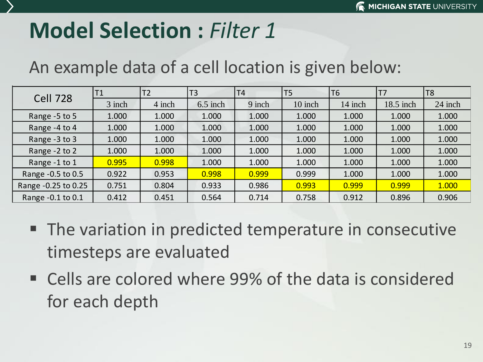#### **Model Selection : Filter 1.000 1.000 1.000 1.000 1.000 1.000 1.000 1.000 1.000 1.000 1.000 1.000 1.000 1.000 1.000 1.000 1.000 1.000 1.000 1.000 1.000 1.000 1.000 1.000 1.000 1.000 1.000 1.000 1.000 1.000 1.000 1.000 1.00**  $R$

#### Range -0.25 to 0.25 0.648 0.696 0.828 0.927 0.952 0.999 1.000 1.000 1.000 1.000 An example data of a cell location is given below:

| <b>Cell 728</b>     |        | T2     | T <sub>3</sub> | T <sub>4</sub> | T <sub>5</sub> | T6      |           | T <sub>8</sub> |
|---------------------|--------|--------|----------------|----------------|----------------|---------|-----------|----------------|
|                     | 3 inch | 4 inch | $6.5$ inch     | 9 inch         | 10 inch        | 14 inch | 18.5 inch | 24 inch        |
| Range -5 to 5       | 1.000  | 1.000  | 1.000          | 1.000          | 1.000          | 1.000   | 1.000     | 1.000          |
| Range -4 to 4       | 1.000  | 1.000  | 1.000          | 1.000          | 1.000          | 1.000   | 1.000     | 1.000          |
| Range -3 to 3       | 1.000  | 1.000  | 1.000          | 1.000          | 1.000          | 1.000   | 1.000     | 1.000          |
| Range -2 to 2       | 1.000  | 1.000  | 1.000          | 1.000          | 1.000          | 1.000   | 1.000     | 1.000          |
| Range -1 to 1       | 0.995  | 0.998  | 1.000          | 1.000          | 1.000          | 1.000   | 1.000     | 1.000          |
| Range - 0.5 to 0.5  | 0.922  | 0.953  | 0.998          | 0.999          | 0.999          | 1.000   | 1.000     | 1.000          |
| Range -0.25 to 0.25 | 0.751  | 0.804  | 0.933          | 0.986          | 0.993          | 0.999   | 0.999     | 1.000          |
| Range -0.1 to 0.1   | 0.412  | 0.451  | 0.564          | 0.714          | 0.758          | 0.912   | 0.896     | 0.906          |

- The variation in predicted temperature in consecutive timesteps are evaluated
- Cells are colored where 99% of the data is considered for each depth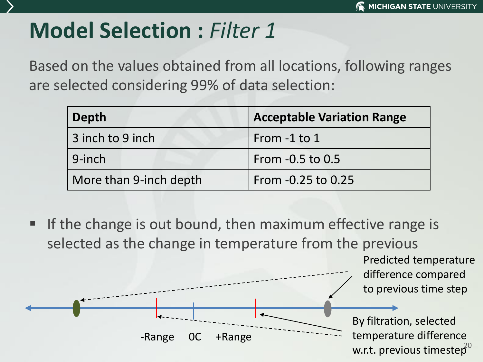## **Model Selection :** *Filter 1*

Based on the values obtained from all locations, following ranges are selected considering 99% of data selection:

| Depth                  | <b>Acceptable Variation Range</b> |
|------------------------|-----------------------------------|
| 3 inch to 9 inch       | From -1 to 1                      |
| 9-inch                 | From $-0.5$ to $0.5$              |
| More than 9-inch depth | From -0.25 to 0.25                |

If the change is out bound, then maximum effective range is selected as the change in temperature from the previous

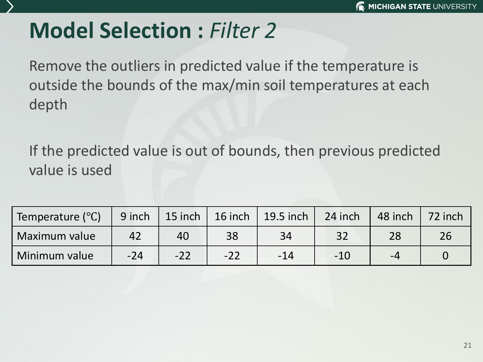## **Model Selection :** *Filter 2*

Remove the outliers in predicted value if the temperature is outside the bounds of the max/min soil temperatures at each depth

If the predicted value is out of bounds, then previous predicted value is used

| Temperature (°C) | 9 inch | 15 inch | 16 inch | $\vert$ 19.5 inch | $24$ inch | 48 inch | 72 inch |
|------------------|--------|---------|---------|-------------------|-----------|---------|---------|
| Maximum value    | 42     | 40      | 38      | 34                | 32        |         |         |
| Minimum value    | $-24$  | $-22$   | $-22$   | $-14$             | $-10$     | -4      |         |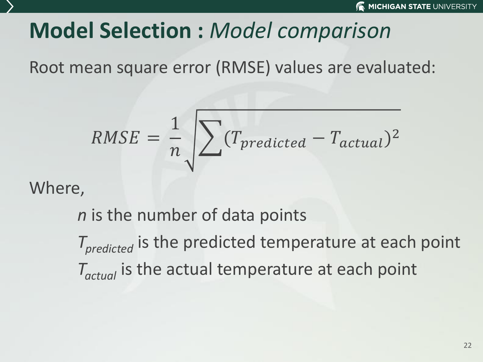## **Model Selection :** *Model comparison*

Root mean square error (RMSE) values are evaluated:

$$
RMSE = \frac{1}{n} \sqrt{\sum (T_{predicted} - T_{actual})^2}
$$

Where,

*n* is the number of data points

*Tpredicted* is the predicted temperature at each point *Tactual* is the actual temperature at each point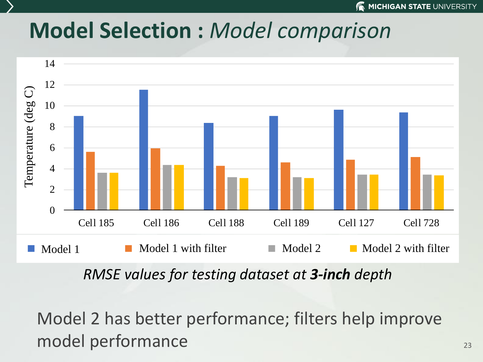#### **Model Selection :** *Model comparison* 2  $\boldsymbol{d}$

4



e

RMSE for 48 inch depth *RMSE values for testing dataset at 3-inch depth*

Model 2 has better performance; filters help improve model performance T<br>T<br>I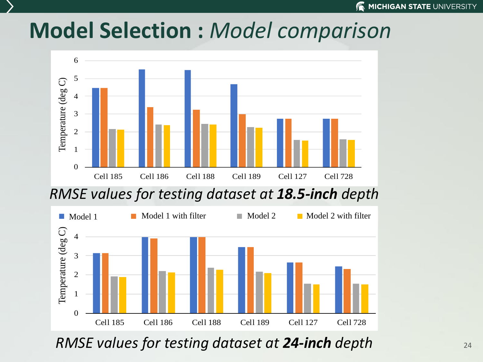(b)

#### Model Selection : Model comparison prediction prediction in the correlation prediction of the prediction of the prediction of the prediction of the set of the prediction of the set of the set of the set of the set of the set of the set of the set of the set Model Selection: Model 4 5  $\mathbf{V}$

pred4vartner av de 12 pred4T12 pred4T12 pred4T12 pred4T12 pred4T12 pred4T12 pred4T12 pred4T12 pred4T12 pred4T1

(a)



 $\sigma$  values for testing dataset at 18 **5-inch** esting dataset at **18.5-inch** depth and the control of the control of the control of the control of the control o  $RMSE$  values for testing dataset at **18.5-inch** depth E VUIUES JOI TESTING UUTUSET UT **10.5-INCH** UEPTII  $\overline{S}$ predate availats por coscili  $\ldots$   $\ldots$   $\ldots$   $\ldots$ res for testing adtaset at **10.5-men** depth



1SE valu Cell 185 Cell 186 Cell 188 Cell 189 Cell 127 Cell 728  $\overline{\phantom{a}}$ **RMSE values for testing dataset at 24-inch depth**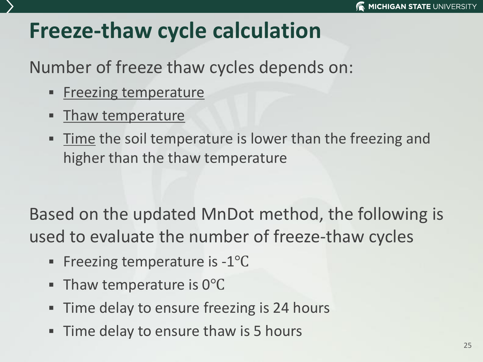#### **Freeze-thaw cycle calculation**

#### Number of freeze thaw cycles depends on:

- **Exercise I** Freezing temperature
- **EXALGE Thaw temperature**
- **Time the soil temperature is lower than the freezing and** higher than the thaw temperature

Based on the updated MnDot method, the following is used to evaluate the number of freeze-thaw cycles

- Freezing temperature is -1<sup>o</sup>C
- Thaw temperature is 0°C
- **Time delay to ensure freezing is 24 hours**
- **Time delay to ensure thaw is 5 hours**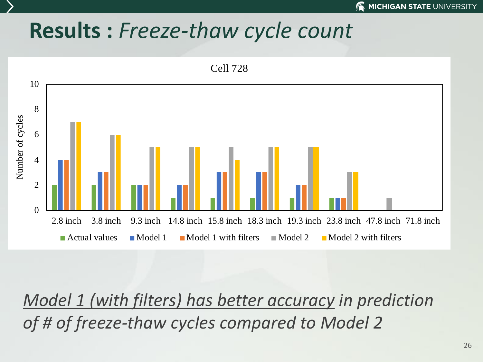#### **Results :** *Freeze-thaw cycle count*



*Model 1 (with filters) has better accuracy in prediction of # of freeze-thaw cycles compared to Model 2*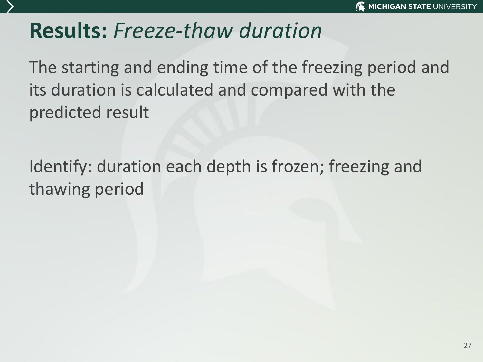#### **Results:** *Freeze-thaw duration*

The starting and ending time of the freezing period and its duration is calculated and compared with the predicted result

Identify: duration each depth is frozen; freezing and thawing period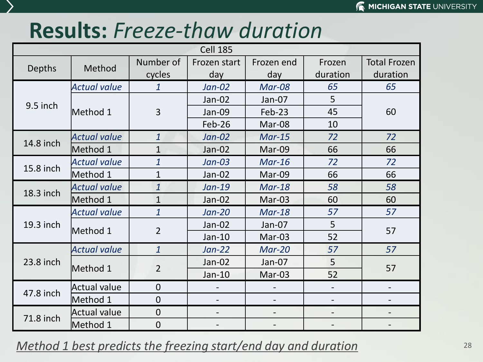#### **Results:** *Freeze-thaw duration*

|           | <b>Cell 185</b>     |                |                          |            |                          |                          |  |  |  |  |  |
|-----------|---------------------|----------------|--------------------------|------------|--------------------------|--------------------------|--|--|--|--|--|
|           | Method              | Number of      | Frozen start             | Frozen end | Frozen                   | <b>Total Frozen</b>      |  |  |  |  |  |
| Depths    |                     | cycles         | day                      | day        | duration                 | duration                 |  |  |  |  |  |
|           | <b>Actual value</b> | $\mathbf{1}$   | $Jan-02$                 | Mar-08     | 65                       | 65                       |  |  |  |  |  |
| 9.5 inch  |                     |                | Jan-02                   | Jan-07     | 5                        |                          |  |  |  |  |  |
|           | Method 1            | $\overline{3}$ | Jan-09                   | Feb-23     | 45                       | 60                       |  |  |  |  |  |
|           |                     |                | Feb-26                   | Mar-08     | 10                       |                          |  |  |  |  |  |
|           | <b>Actual value</b> | $\mathbf{1}$   | $Jan-02$                 | $Mar-15$   | 72                       | 72                       |  |  |  |  |  |
| 14.8 inch | Method 1            | $\mathbf{1}$   | Jan-02                   | Mar-09     | 66                       | 66                       |  |  |  |  |  |
| 15.8 inch | <b>Actual value</b> | $\mathbf{1}$   | Jan-03                   | $Mar-16$   | 72                       | 72                       |  |  |  |  |  |
|           | Method 1            | $\overline{1}$ | Jan-02                   | Mar-09     | 66                       | 66                       |  |  |  |  |  |
| 18.3 inch | <b>Actual value</b> | $\overline{1}$ | $Jan-19$                 | $Mar-18$   | 58                       | 58                       |  |  |  |  |  |
|           | Method 1            | $\mathbf{1}$   | Jan-02                   | Mar-03     | 60                       | 60                       |  |  |  |  |  |
|           | <b>Actual value</b> | $\mathbf{1}$   | $Jan-20$                 | $Mar-18$   | 57                       | 57                       |  |  |  |  |  |
| 19.3 inch | Method 1            | $\overline{2}$ | Jan-02                   | Jan-07     | 5                        | 57                       |  |  |  |  |  |
|           |                     |                | Jan-10                   | Mar-03     | 52                       |                          |  |  |  |  |  |
|           | <b>Actual value</b> | $\mathbf{1}$   | $Jan-22$                 | $Mar-20$   | 57                       | 57                       |  |  |  |  |  |
| 23.8 inch |                     | $\overline{2}$ | Jan-02                   | Jan-07     | 5                        | 57                       |  |  |  |  |  |
|           | Method 1            |                | Jan-10                   | Mar-03     | 52                       |                          |  |  |  |  |  |
| 47.8 inch | Actual value        | $\overline{0}$ |                          |            | $\overline{\phantom{a}}$ | $\overline{\phantom{a}}$ |  |  |  |  |  |
|           | Method 1            | $\overline{0}$ |                          |            |                          |                          |  |  |  |  |  |
|           | Actual value        | $\overline{0}$ | $\overline{\phantom{0}}$ | -          |                          |                          |  |  |  |  |  |
| 71.8 inch | Method 1            | $\overline{0}$ |                          |            |                          |                          |  |  |  |  |  |

#### *Method 1 best predicts the freezing start/end day and duration* 28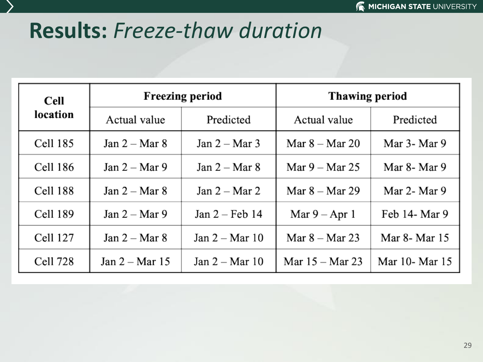#### **Results:** *Freeze-thaw duration*

| <b>Cell</b>     |                  | <b>Freezing period</b>  | <b>Thawing period</b> |                  |  |  |
|-----------------|------------------|-------------------------|-----------------------|------------------|--|--|
| location        | Actual value     | Predicted               | Actual value          | Predicted        |  |  |
| Cell 185        | Jan $2 -$ Mar 8  | Jan $2 -$ Mar 3         | Mar $8 -$ Mar 20      | Mar $3-$ Mar $9$ |  |  |
| <b>Cell 186</b> | Jan $2 -$ Mar 9  | Jan $2 -$ Mar 8         | Mar $9 -$ Mar 25      | Mar $8-$ Mar $9$ |  |  |
| Cell 188        | Jan $2 -$ Mar 8  | Jan $2 -$ Mar 2         | Mar $8 -$ Mar 29      | Mar $2-$ Mar $9$ |  |  |
| <b>Cell 189</b> | Jan $2 -$ Mar 9  | Jan $2 - \text{Feb} 14$ | Mar $9 -$ Apr 1       | Feb 14- Mar 9    |  |  |
| Cell 127        | Jan $2 -$ Mar 8  | Jan $2 -$ Mar 10        | Mar $8 -$ Mar 23      | Mar 8- Mar 15    |  |  |
| Cell 728        | Jan $2 -$ Mar 15 | Jan $2 -$ Mar 10        | Mar $15 -$ Mar 23     | Mar 10- Mar 15   |  |  |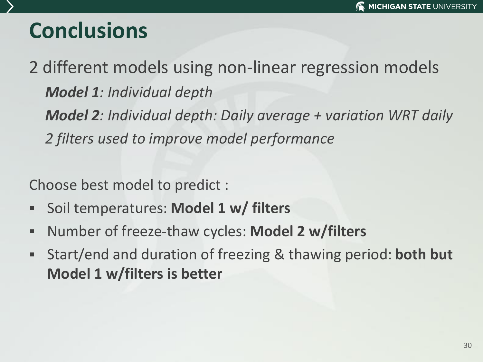## **Conclusions**

2 different models using non-linear regression models *Model 1: Individual depth Model 2: Individual depth: Daily average + variation WRT daily 2 filters used to improve model performance* 

Choose best model to predict :

- Soil temperatures: **Model 1 w/ filters**
- Number of freeze-thaw cycles: **Model 2 w/filters**
- Start/end and duration of freezing & thawing period: **both but Model 1 w/filters is better**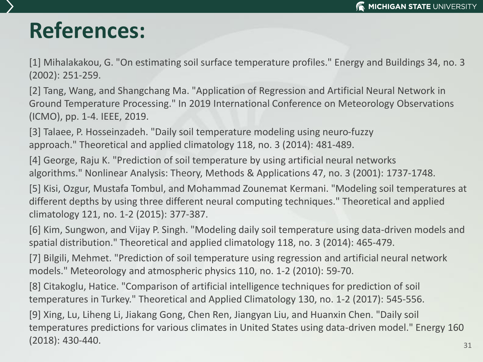#### **References:**

[1] Mihalakakou, G. "On estimating soil surface temperature profiles." Energy and Buildings 34, no. 3 (2002): 251-259.

[2] Tang, Wang, and Shangchang Ma. "Application of Regression and Artificial Neural Network in Ground Temperature Processing." In 2019 International Conference on Meteorology Observations (ICMO), pp. 1-4. IEEE, 2019.

[3] Talaee, P. Hosseinzadeh. "Daily soil temperature modeling using neuro-fuzzy approach." Theoretical and applied climatology 118, no. 3 (2014): 481-489.

[4] George, Raju K. "Prediction of soil temperature by using artificial neural networks algorithms." Nonlinear Analysis: Theory, Methods & Applications 47, no. 3 (2001): 1737-1748.

[5] Kisi, Ozgur, Mustafa Tombul, and Mohammad Zounemat Kermani. "Modeling soil temperatures at different depths by using three different neural computing techniques." Theoretical and applied climatology 121, no. 1-2 (2015): 377-387.

[6] Kim, Sungwon, and Vijay P. Singh. "Modeling daily soil temperature using data-driven models and spatial distribution." Theoretical and applied climatology 118, no. 3 (2014): 465-479.

[7] Bilgili, Mehmet. "Prediction of soil temperature using regression and artificial neural network models." Meteorology and atmospheric physics 110, no. 1-2 (2010): 59-70.

[8] Citakoglu, Hatice. "Comparison of artificial intelligence techniques for prediction of soil temperatures in Turkey." Theoretical and Applied Climatology 130, no. 1-2 (2017): 545-556.

[9] Xing, Lu, Liheng Li, Jiakang Gong, Chen Ren, Jiangyan Liu, and Huanxin Chen. "Daily soil temperatures predictions for various climates in United States using data-driven model." Energy 160 (2018): 430-440.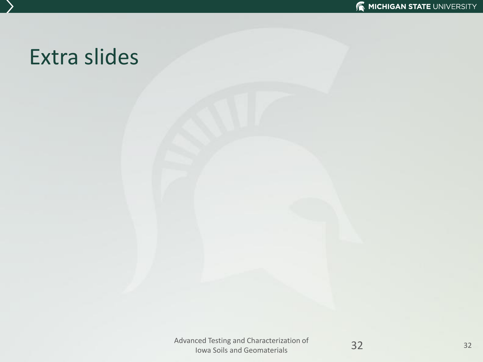#### Extra slides

Advanced Testing and Characterization of Iced Testing and Characterization of **32**<br>Iowa Soils and Geomaterials

32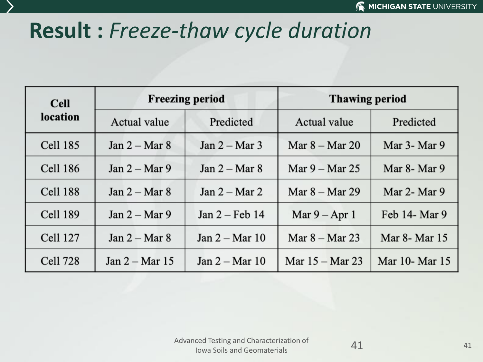## **Result :** *Freeze-thaw cycle duration*

| <b>Cell</b>     |                  | <b>Freezing period</b>   | <b>Thawing period</b> |                  |  |  |
|-----------------|------------------|--------------------------|-----------------------|------------------|--|--|
| location        | Actual value     | Predicted                | Actual value          | Predicted        |  |  |
| <b>Cell 185</b> | Jan $2 -$ Mar 8  | $Jan 2 - Mar 3$          | Mar $8 -$ Mar 20      | Mar 3- Mar 9     |  |  |
| <b>Cell 186</b> | Jan $2 -$ Mar 9  | Jan $2 -$ Mar 8          | Mar $9 -$ Mar 25      | Mar 8- Mar 9     |  |  |
| Cell 188        | Jan $2 -$ Mar 8  | Jan $2 -$ Mar 2          | Mar $8 -$ Mar 29      | Mar $2-$ Mar $9$ |  |  |
| <b>Cell 189</b> | Jan $2 -$ Mar 9  | Jan $2$ – Feb 14         | Mar $9 -$ Apr 1       | Feb 14- Mar 9    |  |  |
| <b>Cell 127</b> | Jan $2 -$ Mar 8  | Jan $2 - \text{Mar } 10$ | Mar $8 -$ Mar 23      | Mar 8- Mar 15    |  |  |
| <b>Cell 728</b> | Jan $2 -$ Mar 15 | Jan $2 - Mar$ 10         | Mar $15 -$ Mar 23     | Mar 10- Mar 15   |  |  |